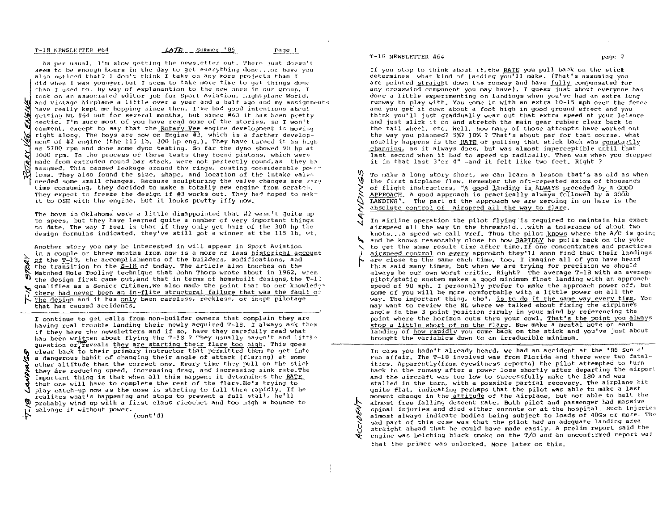..:.L:l,~llJ;J4sL~:!:I!~r! 4164 *-1.A.11:L.\_.* Summer' 86 pa.g~,)\_

As per usual, I'm slow getting the newsletter out. There just doesn't seem to be enough hours in the day to get everything done... or have you also noticed that? I don't think I take on any more projects than I did when I was younger, but I seem to take more time to get things done than I used to. By way of explanantion to the new ones in our group, I took on an associated editor job for Sport Aviation, I.ightplane World, **Al** and Vintage Airplane a little over a year and a half ago and my assignments have really kept me hopping since then. *I've* had good intentions abcut getting NL #64 out for several months, but since #63 it has been pretty hectic. I'm sure most of you have read some of the stories, so I won't comment, except to  $\overline{a}$ ay that the Rotary Vee engine development is moving right along. The boys are now on Engine #3, which is a further development of #2 engine (the 115 lb. 300 hp eng.). They have turned it as high as 5'700 rpm and done some dyno testing. So far the dyno showed 9U hp at 3000 rpm. In the process of these tests they found pistons, which were:' made from extruded round bar stock, were not perfectly round, as they be assumed. This caused leakage around the rings, costing considerable power loss. *They* also found the size, shape, and location of the intake *valvn*  needed some small changes. Because sculpturing the valve changes are v~ry time consuming, they decided to make a totally new engine from scratch. They expect to freeze the design if #3 works out. They had hoped to makit to OSH with the engine, but it looks pretty iffy now.

The boys in Oklahoma were a little disappointed that #2 wasn't quite up to specs, but they have learned quite a number of very important things to date. The way I feel is that if they only get half of the 300 hp the design formulas indicated, they've still got a winner at the 115 lb. wt.

Another story you may be interested in will appear in Sport Aviation in a couple or three months from now is a more or less historical account of the T-13. the accomplishments of the builders, modifications, and  $t$  the transition to the  $S-18$  of today. The article also touches on the N Matched Hole Tooling technique that John Thorp wrote about in 1962, when<br>D the docion first came out and that in terms of homebuilt designs the T-1 the design first came out, and that in terms of homebuilt designs,the T-l: qualifies as a Senior Citizen. We also made the point that to our knowledge there had never been an in-flite structural failure that was the fault of the design and it has only been careless, reckless, or inept pilotage that has caused accidents.

they are reducing speed, increasing drag, and increasing sink rate. The important thing is that when all this happens it determines the RATE. important thing is that when all this happens it determines the RATE probably wind up with a first class ricochet and too high a bounce to probably wind up with a first class ricochet and too high a bounce to I continue to get calls from non-builder owners that complain they are having real trouble landing their newly acquired T-IB. I always ask thpm if they have the newsletters and if so, have they carefully read what has been written about flying the T-18 ? They usually haven't and little question or<sup>4</sup> reveals they are starting their flare too high. This goes clear back to their primary instructor that permitted them to get into a dangerous habit of changing their angle of attack (flaring) at some other altitude than the correct one. Every time they pull on the stick that one will have to complete the rest of the flare. He's trying to play catch-up now as the nose is starting to fall thru rapidly. If he realizes what's happening and stops to prevent a full stall, he'll salvage it without power.

(cont'd)

.~

'r-18 NEWSLETTER #64 page 2

h.

'"

If you stop to think about it, the RATE you pull back on the stick determines what kind of landing you'll make. (That's assuming you are pointed straight down the runway and have fully compensated for any crosswind component you may have). I quess just about everyone has *done* a little experimenting on landings when you've had an extra long runway to play with. You come in with an extra 10-15 mph over the fence and you get it down about a foot high in good ground effect and you tbink you'll just graddually wear out that extra speed at your leisure and just slick it on and stretch the main gear rubber clear back to *the* tail wheel, etc. Well, how many of those attempts have worked 0ut the way you planned? 5%? 10%. ? That's about par for that course. What usually happens is the RATE of pulling that stick back was constantly changing. as it always does, but was almost imperceptible until that last second when it had to speed up radically. Then was when you dropped it in that last 3"or 4" -and it felt like two feet. Right?

To make a long story short, we can learn a lesson that's as old as when Ŵ the first airplane flew. Remember the oft-repeated axiom of thousands of flight instructors, "A good landing is ALWAYS preceded by a GOOD  $\widetilde{\mathcal{E}}$  . APPROACH. A good approach is practically always followed by a GOOD LANDING". The part of the approach We are zeroing in on here is the  $\frac{1}{2}$ absolute control of airspeed all the way to flare.

'I A and he knows reasonably close to how RAPIDLY he pulls back on the yoke In airline operation the pilot flying is required to maintain his exact In airline operation the pilot flying is required to maintain his exact<br>airspeed all the way to the threshold...with a tolerance of about two<br>knots...a speed we call Vref. Thus the pilot knows where the A/C is going to get the same result time after time. If one concentrates and practices airspeed control on every approach they'll soon find that their landings are close to the same each time, too. I imagine all of you have heard this said many times, but when we are trying for precision we should always be our own worst critic. Right? The average T-18 with an average pitot/static sustem makes a qood minimum float landing with an approach speed of 90 mph. I personally prefer to make the approach power off, but some of you will be more comfortable with a little power on all the way. The important thing, tho', is to do it the same way *every* time. You may want to review the NL where we talked about fixing the airplane's angle in the 3 point position firmly in your mind by referencing the point where the horizon cuts thru your cowl. That's the point you always stop a little short of on the flare. Now make a mental note on each landing of how rapidly you come back on the stick and you've just about brought the variables down to an irreducible minimum.

 $\tilde{\mathcal{P}}$ annose armays increase was that the pilot had an adequate landing area<br>by straight ahead that he could have made easily. A prelim report said t<br>praign was belching black smoke on the T/0 and an unconfirmed report In case you hadn't already heard. we had an accident at the 186 Sun n' Fun affair. The T-18 involved was from Florida and there were two fatalities. Apparently(from eyewitness reports) *the* pilot attempted to turn back to the runway after a power loss shortly after departing the airport and the aircraft was too low to successfully make the 180 and was stalled in the turn, with a possible partial recovery. The airplane hit quite flat, indicating perhaps that the pilot was able to make a last moment change in the attitude of the airplane, but not able to halt the almost free falling descent rate. Both pilot and passenger had massive spinal injuries and died either enroute or at the hospital. Such injuries almost always indicate bodies being subject to loads of 40Gs or more. The straight ahead that he could have made easily. A prelim report said the engine was belching black smoke on the *T/O* and an unconfirmed report was

that the primer was unlocked. More later on this.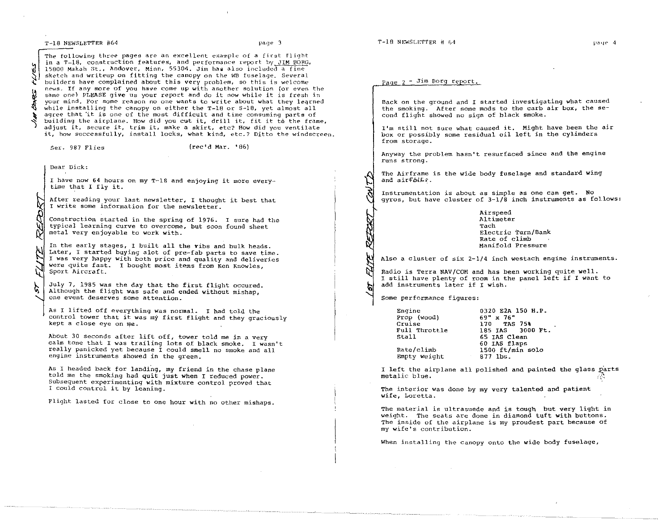## T-18 NEWSLETTER #64 page 3

# Paqe  $2 -$  Jim Borg report.

Back on the ground and I started investigating what caused the smoking. After some mods to the carb air box, the second flight showed no sign of black smoke.

I'm still not Sure what caused it. Might have been the air box Or possibly some residual oil left in the cyLinders from storage.

Anyway the problem hasn't resurfaced since and the engine runs strong.

The Airframe is the wide body fuselage and standard wing and airfolls.

Instrumentation is about as simple as one can get. No gyros, but have cluster of  $3-1/8$  inch instruments as follows:

> Airspeed Altimeter Tach Electric Turn/Bank Rate of climb Manifold Pressure

Also a cluster of six 2-1/4 inch westach engine instruments.

Radio is Terra NAV/COM and has been working quite well. I still have plenty of room in the panel left if I want to add instruments later if I wish.

Some performance figures:

~I

| Engine        | 0320 E2A 150 H.P. |
|---------------|-------------------|
| Prop (wood)   | 69" x 76"         |
| Cruise        | 170 TAS 75%       |
| Full Throttle | 185 IAS 3000 Ft.  |
| Stall         | 65 IAS Clean      |
|               | 60 IAS flaps      |
| Rate/climb    | 1500 ft/min solo  |
| Empty weight  | 877 lbs           |

I left the airplane all polished and painted the glass parts metalic blue.

The interior was done by my very talented and patient wife, Loretta.

The material is ultrasuede and is tough but very light in weight. The seats are done in diamond tuft with buttons. The inside of the airplane is my proudest part because of my wife's contribution.

When installing the canopy onto the wide body fuselage,

~ ~ ~ The following three pages are an excellent example of a first flight in a T-18, construction features, and performance report by JIM BORG. 15800 Makah St., Andover. Minn. 55304. Jim has also included a fine sketch and writeup on fitting the canopy on the WB fuselage. Several builders have complained about this very problem, so this is welcome news. If any more of you have come up with another solution (or even the same one) PLEASE give us your report and do it now while it is fresh in your mind. For some reason no one wanta to write about what they legrned while installing the canopy on either the T-18 or S-18. yet almost all agree that 'it is one of the most difficult and time consuming parts of building the airplane. How did you cut it. drill it. fit it to the frame. adjust it, secure it. trim it, make a skirt, etc? How did you ventilate it, how successfully. install locks, what kind, etc.? Ditto the windscreen.

Ser. 987 Flies (rec'd Mar. '86)

Dear Dick:

~

~

I have now 64 hours on my T-18 and enjoying it more everytime that I fly it.

After reading your last newsletter, I thought it best that <sup>I</sup>write some information for the newsletter.

Construction started in the spring of 1976. I sure had the typical learning curve to overcome, but soon found sheet metal very enjoyable to work with.

X<br>In the early stages, I built all the vibs and bulk heads.<br>Later, I started buying alot of pre-fab parts to save time.<br>I was very happy with both price and quality and deliveries. ~ प In the early stages, I built all the yibs and bulk heads. <sup>I</sup>was very happy with both price and quality and deliveries were quite fast. I bought most items from Ken Knowles, Sport Aircraft.

July 7. 1985 was the day that the first flight occured. Although the flight was safe and ended without mishap, one event deserves some attention.

As I lifted off everything Was normal. I had told the control tower that it was my first flight and they graciously kept a close eye on me.

About 30 seconds after lift off, tower told me in a very calm tone that I was trailing lots of black smoke. I wasn't really panicked yet because I could smell no smoke and all engine instruments showed in the green.

As I headed back for landing, my friend in the chase plane told me the smoking had quit just when I reduced power. Subsequent experimenting with mixture control proved that I could COntrol it by leaning.

Flight lasted for close to one hour with no other mishaps.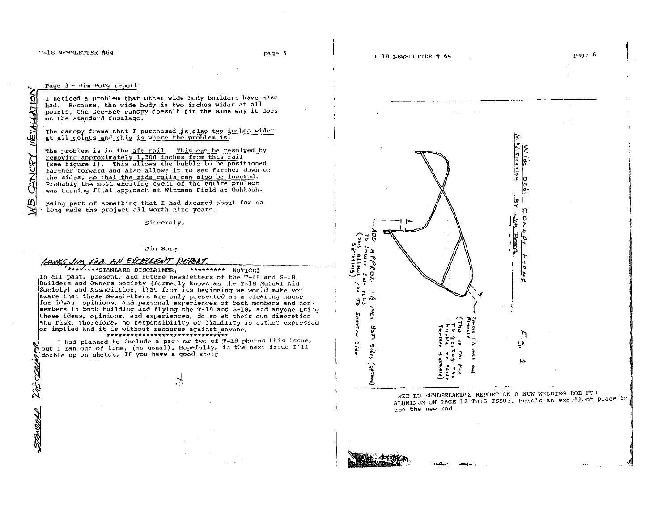۵N Σ.

SAWAL

### Page 3 - Jim Rorg report

<sup>I</sup>noticed a problem that other wide body builders have also had. Because, the wide body is two inches wider at all points, the Gee-Bee canopy doesn't fit the same way it does on the standard fuselage.

The canopy frame that I purchased is also two inches wider at all points and this is where the problem is.

The problem is in the aft rail. This can be resolved by removing approximately 1,500 inches from this rail (see figure 1). This allows the bubble to be positioned farther forward and also allows it to set farther down on the sides, so that the side rails can also be lowered.<br>Probably the most exciting event of the entire project was turning final approach at Wittman Field at Oshkosh.

Being part of something that I had dreamed about for so long made the project all worth nine years.

Sincerely,

### *Jim* Borg

THANKS JUM FOR AN EXCELLENT REPORT.

In all past. present, and future newsletters of the T-1B and S-18 Builders and Owners Society (formerly known as the T-IB Mutual Aid Society) and Association, that from its beginning we would make you<br>aware that these Newsletters are only presented as a clearing house for ideas. opinions, and personal experiences of both members and nonmembers in both building and flying the T-l8 and S-18, and anyone using these ideas. opinions, and experiences. do so at their own discretion and risk. Therefore, no responsibility or liability is either expressed lor implied and it is without recourse against \_anyone.

## \*\*\*\*\*\*\*\*\*\*\*\*\*\*\*\*\*\*\*\*\*\*\*\*\*\*\*\*\*\*\*

I had planned to include a page or two of T-18 photos this issue,  $\mathbb{N}$  but I ran out of time, (as usual). Hopefully, in the next issue I'll double up on photos. If you have a good sharp



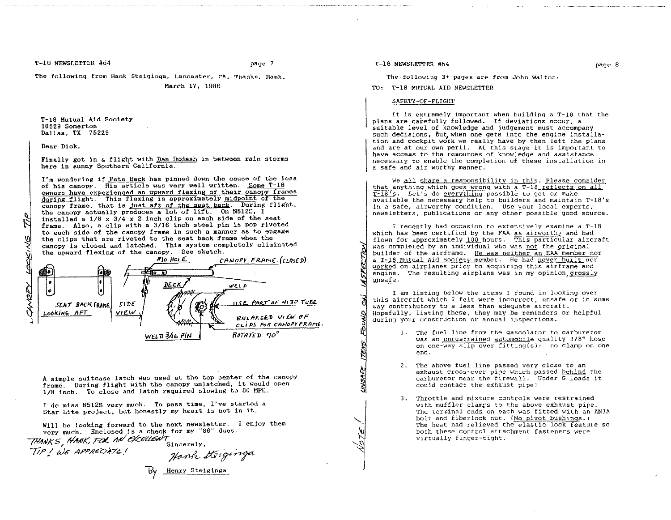T-18 NEWSLETTER #64 page 7

The following from Hank Steiginga, Lancaster, CA. Thanks, Hank.

## March 17, 1986

T-l8 Mutual Aid Society 10529 Somerton Dallas, TX 75229

Dear Dick,

Finally got in a flight with Dan Dudash in between rain storms here in sunny Southern California.

I'm wondering if Pete Beck has pinned down the cause of the 1055 of his canopy. His article was very well written. Some T-18 owners have experienced an upward flexing of their canopy frames during flight. This flexing is approximately midpoint of the canopy frame, that is just aft of the seat back. During flight, the canopy actually produces a lot of lift. On N512S, I installed a  $1/8$  x  $3/4$  x 2 inch clip on each side of the seat frame. Also. a clip with a 3/16 inch steel pin is pop riveted to each side of the canopy frame in such a manner as to engage the clips that are riveted to the seat back frame when the canopy is closed and latched. This system completely eliminated



<sup>A</sup>simple suitcase latch was used at the top center of the canopy frame. During flight with the canopy unlatched, it would open 1/8 inch. To close and latch required slowing to SO MPH.

<sup>I</sup>do miss N512S very much. To pass time. I've started a Star-Lite project. but honestly my heart is not in it.

Will be looking forward to the next newsletter. I enjoy them

THINKS, HANK, FOR AN EXCELLENT

very much. Enclosed is a check for my "86" dues.<br>WKS, HANK, FOR AN EXCELLENT Sincerely,<br>"I WE APPRECIATE! Hank Heiginga  $Bv$  Henry Steiginga

<u>ms</u>A ';l'

<u>ITENS</u>

'-

<sup>~</sup>*S)* 

The following 3+ pages are from John Walton:

TO: T-18 MUTUAL AID NEWSLETTER

# SAFETY-OF-FLIGHT.

It. is extremely important when building a T-l8 that the plans are carefully followed. If deviations occur, a suitable level of knowledge and judgement must accompany such decisions. But when one gets into the engine installation and cockpit work we really have by then left the plans and are at our own peril. At this stage it is important to have access to the resources of knowledge and assistance necessary to enable the completion of these installation in a safe and air worthy manner.

We all share a responsibility in this. Please consider that anything which goes wrong with a T-18 reflects on all T-18's. Let's do everything possible to get or make available the necessary help to builders and maintain T-18's in a safe, airworthy condition. Use your 10cal experts, newsletters. publications or any other possible good source.

I recently had occasion to extensively examine a T-1B which has been certified by the FAA as airworthy and had flown for approximately 100 hours. This particular aircraft was completed by an individual who was not the original builder of the airframe. He was neither an EAA member nor a T-1B Mutual Aid Society member. He had never built nor worked on airplanes prior to acquiring this airframe and engine. The resulting airplane was in my opinion grossly unsafe.

I am listing below the items I found in looking over this aircraft which I felt were incorrect, unsafe or in some way contributory to a less than adequate aircraft. Hopefully, listing these, they may be reminders or helpful during your construction or annual inspections.

- 1. The fuel line from the gascolator to carburetor was an unrestrained automobile quality 3/8" hose on one-way slip over fitting(s): no clamp on one end.
- 2. The above fuel line passed very close to an exhaust cross-over pipe which passed behind the carburetor near the firewall. Under G loads it could contact the exhaust pipe!
- 3. Throttle and mixture controls were restrained with muffler clamps to the above exhaust pipe. The terminal ends on each was fitted with an AN3A bolt and fiberlock nut. (No pivot bushings.) The heat had relieved the elastic lock feature so both these control attachment fasteners were virtually finger-tight.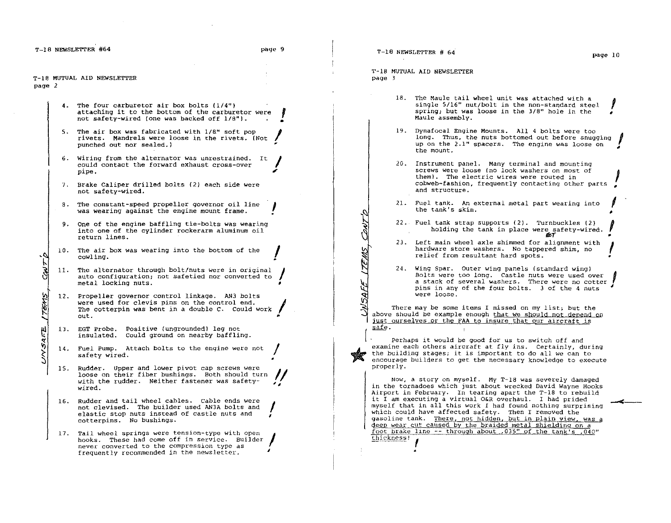$\overline{\mathbf{r}}$ 

•

/ •

•

""

T-18 MUTUAL AID NEWSLETTER page ]

~i

- 18. The Maule tail wheel unit was attached with The Maule tail wheel unit was attached with a<br>single 5/16" nut/bolt in the non-standard steel AID NEWSLETTER<br>The Maule tail wheel unit was attached with a<br>single 5/16" nut/bolt in the non-standard steel<br>spring; but was loose in the 3/8" hole in the<br>Maule assembly.
- 19. Dynafocal Engine Mounts. All 4 bolts were too long. Thus, the nuts bottomed out before snugging up on the 2.1" spacers. The engine was loose on the mount.  $\mathbf{r}$ •
- 20. Instrument panel. Many terminal and mounting screws were loose (no lock washers on most of  $\mathcal{L}$ screws were loose (no lock washers on most of<br>them). The electric wires were routed in cobweb-fashion, frequently contacting other parts .<br>and structure.
- 21. Fuel tank. An external metal part wearing into  $\int$
- 22. Fuel tank strap supports (2). tank strap supports (2). Turnbuckles (2)<br>holding the tank in place were safety-wired.
- **107**<br>23. Left main wheel axle shimmed for alignment with hardware store washers. No tappered shim, no relief from resultant hard spots.
- 24. Wing Spar. Outer wing panels (standard wing) a stack of several washers. There were no cotter pins in any of the four bolts. 3 of the 4 nuts were loose.

There may be some items I missed on my list; but the above should be example enough that we should not depend on just ourselves or the FAA to insure that our aircraft is safe.

 $\begin{pmatrix} 1 \\ 1 \end{pmatrix}$  $*$   $|$ Perhaps it would be good for us to switch off and examine each others aircraft at fly ins. Certainly, during the building stages; it is important to do all we can to encourage builders to get the necessary knowledge to execute properly.

Now, a story on myself. My T-18 was severely damaged in the tornadoes which just about wrecked David Wayne Hooks Airport in February. In tearing apart the T-1B to rebuild it I am executing a virtual O&R overhaul. I had prided myself that in all this work I had found nothing surprising which could have affected safety. Then I removed the gasoline tank. There, not hidden, but in plain view, was a deep wear cut caused by the braided metal shielding on a foot brake line -- through about .035" of the tank's .040" ~bJckness! ,

T-18 MUTUAL AID NEWSLETTER page 2

- 4. The four carburetor air box bolts (1/4") attaching it to the bottom of the carburetor were not safety-wired {one was backed off 1/8"1.
- 5. The air box was fabricated with 1/&" soft pop rivets. Mandrels were loose in the rivets. (Not punched out nor sealed.) !
- 6. wiring from the alternator was unrestrained. It could contact the forward exhaust cross-over pipe.  $\int$
- 7. Brake Caliper drilled bolts {21 each side were not safety-wired.
- S. The constant-speed propeller governor oil line was wearing against the engine mount frame. I
- 9. One of the engine baffling tie-bolts was wearing into one of the cylinder rockerarm aluminum oil return lines.
- 10. The air box was wearing into the bottom of the **I** cowling. •
- 11. The alternator through bolt/nuts were in original I auto configuration; not safetied nor converted to metal locking nuts.
- 12. Propeller governor control linkage. AN3 bolts were used for clevis pins on the control end. The cotterpin was bent in a double C. Could work out. out. ..
- 13. EGT Probe. positive (ungrounded) leg not insulated. Could ground on nearby baffling.
- 14. Fuel Pump. Attach bolts to the engine were not safety wired.
- 15. Rudder. loose on with the wired. Upper and lower pivot cap screws were<br>their fiber bushings. Both should turn with the rudder. Neither fastener was safety- $\mathcal{U}$ "
- 16. Rudder and tail wheel cables. Cable ends were not clevised. The builder used AN3A bolts and elastic stop nuts instead of castle nuts and cotterpins. No bushings. I I
- cotterpins. No busnings.<br>17. Tail wheel springs were tension-type with open hooks. These had come off in service. Builder<br>never converted to the compression type as<br>frequently recommended in the newsletter.

~  $\geq$   $\mid$ 

~ |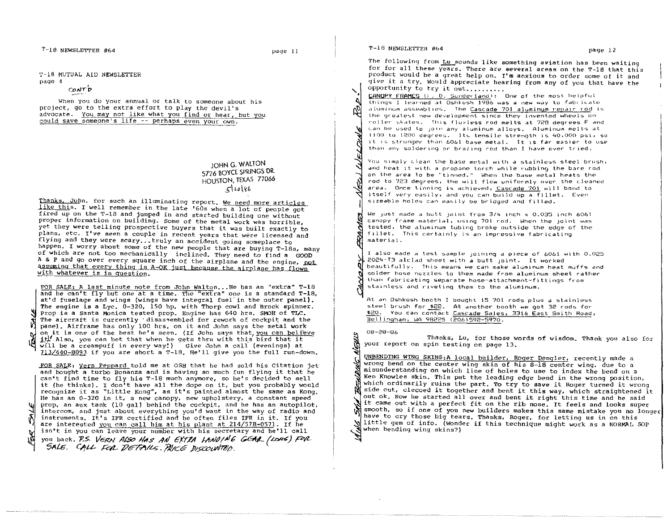T~18 NEWSLETTER #64

page 11

1'-lB MUTUAL AID NEWSLETTER

page 4

~ ~i

 $convP$ 

When you do your annual or talk to someone about his project, go to the extra effort to play the devil's advocate. You may not like what you find or hear, but you could save someone's life -- perhaps even your own.

> JOHN G. WALTON 5726 BOVCE SPRINGS DR. HOUSTON, TEXAS 77066  $\mathcal{L}$  to  $\mathcal{L}$

Thanks. John. for such an illuminating report. We need more articles like this. I well remember in the late '60s when a lot of people got fired up on the T-18 and jumped in and started building one without proper information on building. Some of the metal work was horrible, yet they were telling prospective buyers that it was built exactly to plans, etc. I've seen a couple in recent years that were licensed and flying and they were scary...truly an accident going someplace to happen. I worry about some of the new people that are buying T-18s, many of which are not too mechanically inclined. They need to find a GOOD A & P and go over every square inch of the airplane and the engine,  $p_0t$ assuming that every thing is A-OK just because the airplane has flown with whatever is in question.

FOR SALE: A last minute note from John Walton... He has an "extra" T-18 and he can't fly but one at a time. The "extra" one is a standard T-18. st'd fuselage and wings (wings have integral fuel' in the outer panel). The engine is a Lyc. 0-320, 150 hp. with Thorp cowl and Brock spinner. Prop is a Santa Monica tested prop. Engine has 640 hrs. SMOH of TLC. The aircraft is currently 'disassembled for rework of cockpit and the panel. Airframe has only 100 hrs. on it and John says the metal work on it is one of the best he's seen. (If John says that you can believe it<sup>'</sup> Also. you can bet that when he gets thru with this bird that it \oILll be a creampuff in every way!) *Give* John a call (evenings) at 713(440-8093 if you are short a 'r-18. He'll give you the full run-down.

FOR SALE: vern peppard told *me* at QSH that he had sold his citation jet and bought a turbo Bonanza and is having so much fun flying it that he can't find time to fly his T-18 much anymore, so he's decided to sell it (he thinks). r don't have all the dope on it, but you probably would recognize it as "Little Kong". as it's painted almost the same as Kong. He has an 0-320 in it, a new canopy, new upholstery. a constant speed prop. an aux tank (10 gal) behind the cockpit. and he has an autopilot, intercom, and just about everything you'd want in the way of radio and instruments. It's IFR certified and he often files IFR in it. If you are interested you can call him at his plant at 214/578-0571. If he isn't in you can leave your number with his secretary and he'll call you back. P.S. *VERN ALSO HAS AN EXTRA LANDING GEAR (LONG) FOR* \$AI£. C',ItU-,cqz.. P67?l/~ . *iWrc6'* jJ/.>W~iJ.

T-18 NEWSLETTER #64 page 12

'. ,~

М

O

Ś

The following from Lu sounds like something aviation has been waiting for for all these years. There are several areas on the T-18 that this product would be a great help on. I'm anxious to order some of it and give it a try. Would appreciate hearing from any of you that have the opportunity to try it out..........

CANOPY FRAMES (I. D. Sunderland): One of the most helpful Lhings I learned at Oshkosh 1986 was a new way to fabricate aluminum assemblies. The Cascade 701 aluminum repair rod is the greatest new development since they invented wheels on roller skates. This fluxless rod melts at 728 degrees F and Lan be used to join any aluminum alloys. Aluminum melts at  $1100$  to  $1200$  degrees. Its tensile strength is  $40,000$  psi, so it is stronger than 6061 base metal. It is far easier to use than any soldering or brazing rod than I have ever tried.

You simply clean the base metal with a stainless steel brush, and heat it with a propane torch while rubbing the bare rod on the area to be "tinned." When the base metal heats the rod to 723 degrees, the will flow uniformly over the cleaned area. Once tinning is achieved, Cascade 701 will bond to itself very easily, and you can build up a fillet. Even Sizeable holes can easily be bridged and filled.

We just made a hutt joint from 3/4 inch x 0.035 Inch 6061 canopy frame material, using 701 rod. When the joint was tested, the aluminum tubing broke outside the edge of the fillet. This certainly is an impressive fabricating material.

<sup>I</sup>also made a test sample JOIning a piece of 6061 with 0.025 2024-T3 alclad sheet with a butt joint. It worked beautifully. This means we can make aluminum heat muffs and solder hose nozzles to them made from aluminum sheet rather than fabricating separate hose-attachment-fittings from stainless and riveting them to the aluminum.

At an Oshkosh booth I bought 15 701 rods plus a stainless steel brush for \$22. At another booth we got 32 rods for \$20. You can contact Cascade Sales, 3316 East Smith Road, Bellingham, WA 98225 (206)592-5970.

08-28-86

Thanks, Lu, for those words of wisdom. Thank you also for your report on spin testing on page 13.

~! UNBENDING WING SKINS:A local builder, Roger Dengler, recently made a J wrong bend on the center wing skin of his S-18 center wing. due to a misunderstanding on which line of holes to use to index the bend on a Ken Knowles skin. This put the leading edge bend in the wrong position, which ordinarily ruins the part. To try to save it Roger turned it wrong side out, clecoed it together and bent it this way, which straightened it out ok. Now he started allover and bent it right this time and he said it came out with a perfect fit on the rib nose. It feels and looks super smooth, so if one of you new builders makes this same mistake you no longer have to cry those big tears. Thanks, Roger, for letting us in on this little gem of info. (Wonder if this technique might work as a NORMAL SOP when bending wing skins?)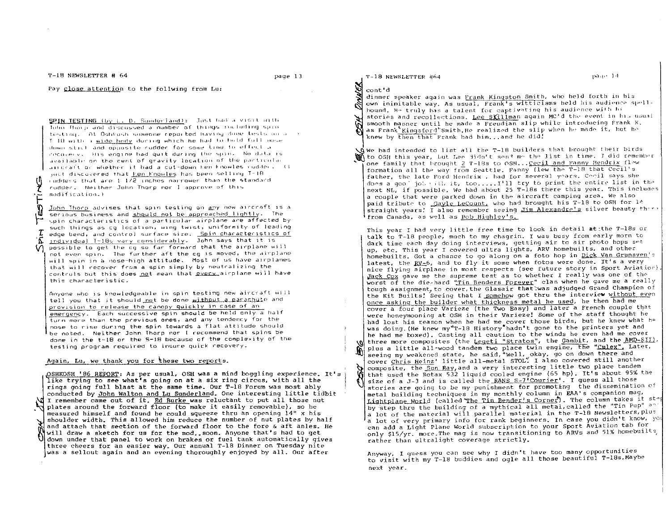T-18 NEWSLETTER # 64

Pay close attention to the follwing from Lu:

SPIN TESTING (by L. D. Sunderland): Just had a visit with John Thorp and discussed a number of things including spin testing. At Oshkosh someone reported having done tests on a s I 18 with a wide body during which he had to hold foll nose. down stick and opposite rudder for some time to effect a incovery. His engine had quit during the spin. No data is available on the cent of gravity location of the particular aircraft or whether it had a cut-down ken Fnowles rudder. (E just discovered that <u>Ken Knowles</u> has been selling T-18. cudders that are 1.1/2 inches narrower than the standard rudder. Neither John Thorp nor I approve of this modification.)

John Thorp advises that spin testing on any new aircraft is a serious business and should not be approached lightly. The spin characteristics of a particular airplane are affected by such things as cg location, wing twist, uniformity of leading edge bend, and control surface size. Spin characteristics of individual T-185 vary considerably. John says that it is possible to get the cg so far forward that the airplane will not even spin. The further aft the cq is moved, the airplane will spin in a nose-high attitude. Most of us have airplanes that will recover from a spin simply by neutralizing the controls but this does not mean that every airplane will have this characteristic.

Anyone who is knowledgeable in spin testing new aircraft will tell you that it should not be done without a parachule and provision to release the canopy quickly in case of an emergency. Each successive spin should be held only a half turn more than the previous ones, and any tendency for the nose to rise during the spin towards a flat attitude should be noted. Neither John Thorp nor I recommend that spins be done in the t-18 or the S-18 because of the complexity of the testing program required to insure quick recovery.

# Again, Lu, we thank you for these two reports.

OSHKOSH '86 REPORT: As per usual, OSH was a mind boggling experience. It's like trying to see what's going on at a six ring circus, with all the rings going full blast at the same time. Our T-18 Forum was most ably conducted by John Walton and Lu Sunderland. One interesting little tidbit I remember came out of it. Ed Burke was reluctant to put all those nut plates around the forward floor (to make it easily removable), so he measured himself and found he could squeeze thru an opening 14" x his shoulder width. This allowed him reduce the number of nut plates by half and attach that section of the forward floor to the fore & aft anles. He will draw a sketch for us for the mod. soon. Anyone that's had to get down under that panel to work on brakes or fuel tank automatically gives three cheers for an easier way. Our annual T-18 Dinner on Tuesday nite was a sellout again and an evening thoroughly enjoyed by all. Our after

T-18 NEWSLETTER #64

#### page 14

# cont'd

dinner speaker again was Frank Kingston Smith, who held forth in his own inimitable way. As usual, Frank's witticisms held his audience spellbound. He truly has a talent for captivating his audience with hi stories and recollections. Lee SXillman again MC'd the event in his usual smooth manner until he made a Freudian slip while introducing Frank K. as Frank Kingsford Smith. He realized the slip when he made it, but he knew by then that Frank had him...and he did!

 $\Delta$ We had intended to list all the T-18 builders that brought their birds Winf to OSH this year, but Lee didn't send me the list in time. I did remember one family that brought 2 T-18s to OSH... Cecil and Fanny Hendrix flew formation all the way from Seattle, Fanny flew the T-18 that Cecil's father, the late Ford Hendrix, had for several years. Cecil says she does a goo' job with it, too..... I'll try to print the entire list in the next NL, if possible. We had about 25 T-18s there this year. This includes a couple that were parked down in the aircraft camping area. We also paid tribute to Gayle LeCount, who had brought his T-18 to OSH for 14 straight years! I also remember seeing *Jim Alexandre's* silver beauty there from Canada, as well as Bob Highley's.

This year I had very little free time to look in detail at the T-18s or talk to T-18 people, much to my chagrin. I was busy from early morn to dark time each day doing interviews, getting air to air photo hops set up, etc. This year I covered ultra lights, ARV homebuilts, and other homebuilts. Got a chance to go along on a foto hop in Dick Van Grunsven's latest, the RV-6, and to fly it some when fotos were done. It's a very nice flying airplane in most respects (see future story in Sport Aviation) Jack Cox gave me the supreme test as to whether I really was one of the worst of the die-hard "Tin Benders Forever" clan when he gave me a really tough assignment, to cover, the Glasair that was adjudged Grand Champion of the Kit Builts! Seeing that I somehow got thru the interview without even once asking the builder what thickness metal he used, he then had me cover a four place Varieze (the Two Easy) and later a French couple that were honeymooning at OSH in their Varieze! Some of the staff thought he had lost his reason when he had me cover those birds, but he knew what he was doing. (He knew my"T-18 History hadn't gone to the printers yet and he had me boxed). Casting all caution to the winds he even had me cover three more composites (the Legeti "Stratos", the Gambit, and the AMD-SII). plus a little all-wood tandem two place twin engine, the "Culex". Later, seeing my weakened state, he said, "Well, okay, go on down there and cover Chris Heinz' little all-metal STOL" I also covered still another composite, the Sun Ray, and a very interesting little two place tandem ρ that used the Rotax 532 liquid cooled engine (65 hp). It's about 95% the size of a J-3 and is called the RANS S-7<sup>1</sup>Courier'. I guess all those stories are going to be my punishment for promoting the dissemination of metal building techniques in my monthly column in EAA's companion mag, Lightplane World (called The Tin Bender's Corner). The column takes it stap by step thru the building of a mythical all metal, called the "Tin Pup" an a lot of the material will parallel material in the T-18 Newsletters, plus a lot of very primary info for rank beginners. In case you didn't know, you can add a Light Plane World subscription to your Sport Aviation tab for only \$15/yr. more. The mag is now transitioning to ARVs and 51% homebuilts, rather than ultralight coverage strictly.

Anyway, I guess you can see why I didn't have too many opportunities to visit with my T-18 buddies and ogle all those beautiful T-18s. Maybe next year.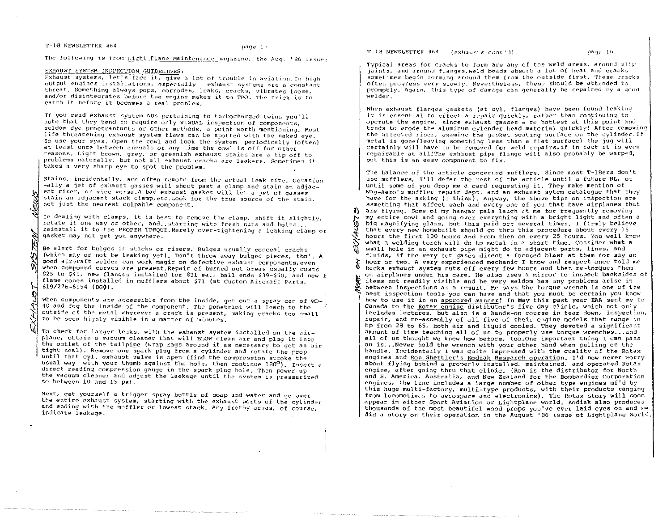### T-18 NEWSLETTER #64

The following is from Light Flane Maintenance magazine, the Aug. '86 issue:

# EXHAUST SYSTEM INSPECTION GUIDELINES:

Exhaust systems, let's face it, give a lot of trouble in aviation. In high output engines installations, especially, exhaust systems are a constant threat. Something always pops, corrodes, leaks, cracks, vibrates loose, and/or disintegrates before the engine makes it to TBO. The trick is to catch it before it becomes a real problem.

If you read exhaust system ADs pertaining to turbocharged twins you'll note that they tend to require only VISUAL inspection of components, seldom dve penetrantants or other methods, a point worth mentioning. Most life threatening exhaust system flaws can be spotted with the naked eye. So use your eyes. Open the cowl and look the system periodically (often) at least once between annuals or any time the cowl is off for other reasons. Light brown, grey, or greenish exhaust stains are a tip off to problems naturally, but not all exhaust cracks are leakers. Sometimes it takes a very sharp eye to spot the problem.

Stains, incidentally, are often remote from the actual leak site. Occasion -ally a jet of exhaust gasses will shoot past a clamp and stain an adjacent riser, or vice versa. A bad exhaust gasket will let a jet of gasses stain an adjacent stack clamp, etc. Look for the true source of the stain, not just the nearest culpable component.

In dealing with clamps, it is best to remove the clamp, shift it slightly, rotate it one way or other, and. starting with fresh nuts and bolts... reinstall it to the PROPER TORQUE. Merely over-tightening a leaking clamp or gasket may not get you anywhere.

Be alert for bulges in stacks or risers. Bulges usually conceal cracks (which may or not be leaking yet). Don't throw away bulged pieces, tho'. A good aircraft welder can work magic on defective exhaust components, even when compound curves are present. Repair of burned out areas usually costs \$25 to \$45, new flanges installed for \$31 ea., ball ends \$39-\$50, and new f flame cones installed in mufflers about \$71 (at Custom Aircraft Parts,  $619/276 - 6954$  (DGO).

When components are accessible from the inside, get out a spray can of WD-40 and fog the inside of the component. The penetrant will leach to the outside of the metal wherever a crack is present, making cracks too small to be seen highly visible in a matter of minutes.

To check for larger leaks, with the exhaust system installed on the airplane, obtain a vacuum cleaner that will BLOW clean air and plug it into the outlet of the tailpipe (wrap rags around it as necessary to get an air tight seal). Remove one spark plug from a cylinder and rotate the prop until that cyl. exhaust valve is open (find the compression stroke the usual way with your thumb against the hole, then continue 180°). Insert a direct reading compression gauge in the spark plug hole. Then power up the vacuum cleaner and adjust the laekage until the system is pressurized to between 10 and 15 psi.

Next, get yourself a trigger spray bottle of soap and water and go over the entire exhaust system, starting with the exhaust ports of the cylinder and ending with the muffler or lowest stack. Any frothy areas, of course, indicate leakage.

T-18 NEWSLETTER #64 (exhausts cont'd)

W.

page 16

Typical areas for cracks to form are any of the weld areas, around slip joints, and around flanges. Weld beads absorb a lot of heat and cracks sometimes begin forming around them from the outside first. These cracks often progress very slowly. Nevertheless, these should be attended to promptly. Again, this type of damage can generally be repaired by a good welder.

When exhaust flanges gaskets (at cyl. flanges) have been found leaking it is essential to effect a repair quickly, rather than continuing to operate the engine, since exhaust gasses a re hottest at this point and tends to erode the aluminum cylender head material quickly! After removing the affected riser, examine the gasket seating surface on the cylinder. If metal is gone (leaving something less than a flat surface) the jug will certainly will have to be removed for weld repairs, if in fact it is even repairable at all!The exhaust pipe flange will also probably be warped, but this is an easy component to fix.

The balance of the article concerned mufflers. Since most T-18ers don't use mufflers, I'll defer the rest of the article until a future NL, or until some of you drop me a card requesting it. They make mention of Wag-Aero's muffler repair dept, and an exhaust sytem catalogue that they have for the asking (I think). Anyway, the above tips on inspection are ssmething that affect each and every one of you that have airplanes that are flying. Some of my hangar pals laugh at me for frequently removing my entire cowl and going over everything with a bright light and often a big magnifying glass, but this paid off several times. I firmly believe that every new homebuilt should go thru this procedure about every 15 hours the first 100 hours and from then on every 25 hours. You well know what a welding torch will do to metal in a short time. Consider what a small hole in an exhaust pipe might do to adjacent parts, lines, and fluids, if the very hot gases direct a focused blast at them for say an hour or two. A very experienced mechanic I know and respect once told me backs exhaust system nuts off every few hours and then re-torques them on airplanes under his care. He also uses a mirror to inspect backsides of items not readily visible and he very seldom has any problems arise in between inspections as a result. He says the torque wrench is one of the best inspection tools you can have and that you must be certain you know how to use it in an approved manner! In May this past year EAA sent me to Canada to the Rotax engine distibutor"s five day clinic, which not only includes lectures, but also is a hands-on course in tear down, inspection, repair, and re-assembly of all five of their engine models that range in hp from 28 to 65, both air and liquid cooled. They devoted a significant amount of time teaching all of us to properly use torque wrenches... and all of us thought we knew how before, too. One important thing I can pass on is...Never hold the wrench with your other hand when pulling on the handle. Incidentally I was quite impressed with the quality of the Rotax engines and Ron Shettler's Kodiak Research operation. I'd now never worry about flying behind a properly installed, maintained, and operated Rotax engine, after going thru that clinic. (Ron is the distributor for North and S. America, Australia, and New Zealand for the Bombardier Corporation engines, the line includes a large number of other type engines mf'd by this huge multi-factory, multi-type products, with their products ranging from locomotives to aerospace and electronics). The Rotax story will soon appear in either Sport Aviation or Lightplane World. Kodiak also produces thousands of the most beautiful wood props you've ever laid eyes on and we did a story on their operation in the August '86 issue of Lightplane World.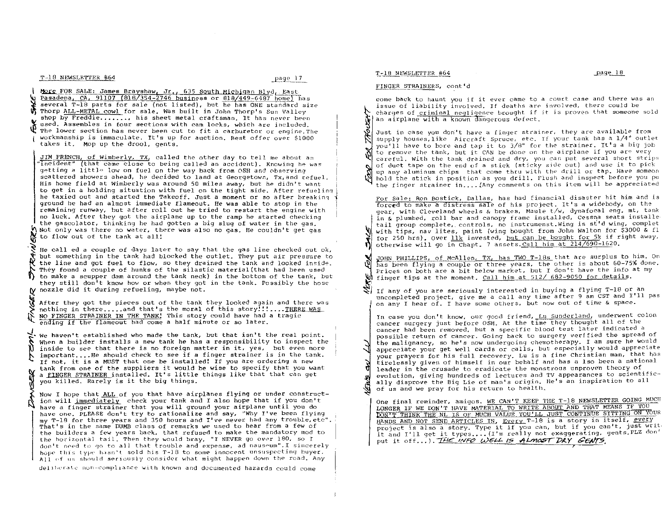T-18 NEWSLETTER #64 17 page 17

1 More FOR SALE: James Brayshaw, Jr., 635 South Michigan Blvd, East U Pasadena, CA, 91107 (818/354-2746 business or 818/449-6487 home) has<br>I several T-18 parts for sale (not listed), but he has ONE standard size **\$ Thorp ALL-METAL cowl for sale. Was built in John Thorp's Sun Valley** shop by Freddie......., his sheet metal craftsman. It has never been used. Assembles in four sections with cam locks, which are included. The lower section has never been cut to fit a carburetor or engine.The workmanship is immaculate. It's up for auction. Best offer *over* \$1000 takes it. Mop up the drool, gents.

~ JIM FRENCH, of Wimberly, *TX,* called the other day to tell *me* about an Incident" (that came close to being called an accident). Knowing he was getting a little low on fuel on the way back from OSH and observing scattered showers ahead, he *decided* to land at Georgetown, Tx,and refuel. His home field at Wimberly was around 50 miles away, but he didn't want to get in a holding situation with fuel on the tight side. After refuelinq he taxied out and started the Takeoff. Just a moment or so after breaking<br>ground he had an almost immediate flameout. He was able to stop in the<br>remaining runway, but after roll out he tried to restart the engine with ground be had an almost immediate flameout. He was able to stop in the no luck. After they got the airplane up to the ramp he started checking the gascolator, thinking he had gotten a big slug of water in the gas. Not only was there no water, there was also no gas. He COUldn't get gas to flow out of the tank at all!

We the line and got fuel to flow, so they drained the tank and looked inside. He call ed a couple of days later to say that the gas line checked out ok, but something in the tank had blocked the outlet. They put air pressure to They found a couple of hunks of the silastic material (that had been used  $\mathbb D$  to make a scupper dam around the tank neck) in the bottom of the tank, but they still don<sup>1</sup>t know how or when they got in the tank. Possibly the hose nozzle did it during refueling, maybe not.

 $\mathcal{R}$ We find the flameout had come a half minute or so later. After they got the pieces out of the tank they looked again and there was nothing in there.....and that's the moral of this story!!!.... THERE WAS NO FINGER STRAINER IN THE TANK! This story could have had a tragic

 $\sum_{\text{the hand}}^{\text{the hand}}$ <br>  $\sum_{\text{insidd}}^{\text{when a}}$ <br>  $\sum_{\text{the end}}^{\text{in a end}}$ We haven't established who made the tank, but that isn't the real point. When a builder installs a new tank he has a responsibility to inspect the inside to *see* that there is no foreign matter in it, yes, but even more important....He should check to see if a finger strainer is in the tank. If not, it is a MUST that one be installed! If you are ordering a new tank from one of the suppliers it would be wise to specify that you want a FINGER STRAINER installed. It's little things like that that can get you killed. Rarely is it the big things.

ank<br>
you<br>
you<br>
Now<br>
have<br>
lave<br>
lave Now I hope that ALL of you that have airplanes flying or under construction will immediately check your tank and I also hope that if you don't have a finger strainer that you will ground your airplane until you do have one. PLEASE don't try to rationalize and say, "Why *I've* been flying my T-IB for three years and 350 hours and *I've* never had any trouble, etc". That's in the same DUMB class of remarks we used to hear from a few of tho builders a few years back, that refused to make the mandatory mod to the horizontal tail. Then they would bray, "I NEVER go over 180, so I don't need to go to all that trouble and expense, ad nauseum". I sincerely hope this type hasn't sold his T-18 to some innocent unsuspecting buyer. All of us should seriously consider what might happen down the road. Any

deliberate non-compliance with known and documented hazards could come

#### 't.-18 N~"WSLET\_'!'~1l64 -E.-a9~

l\)'

#### FINGER STRAINERS, cont'd

come back to haunt you if it ever came to a court case and there was an issue of liability involved. If deaths are involved, there could be charges of criminal negligence brought if it is proven that someone sold an airplane with a known dangerous defect.

issue of liability involved. If deaths are involved, there could be<br>charges of <u>criminal negligence</u> brought if it is proven that someone solo<br>an airplane with a known dangerous defect.<br>you'll have to bore and tap it to *3* Just in case you don't have a finger strainer, they are available from supply houses,like Aircraft Spruce, etc. If your tank bas a *1/4"* outlet to remove the tank, but it CAN be done on the airplane if you are very careful. With the tank drained and dry, you can put several short strips of duct tape on the end of a stick (sticky side out) and use it to pick  $\overline{\mathcal{L}}$ up any aluminum chips that come thru with the drill or tap. Have someon hold the stick in position as you drill. Flush and inspect before you pu the finger strainer in.... (Any comments on this item will be appreciated

For Sale: Ron Bostick, Dallas, has had financial disaster hit him and is forced to make a d1stress sale of his project. It's a widebody, on the gear, with Cleveland wheels & brakes, Maule *tlw,* dynafocal eng. mt, tank in & plumbed, roll bar and canopy frame installed, CesSna seats installe tail group complete, controls, no instrumenst.Wing is st'd wing, complet with tips, nav lites, paint (wing bought from John Walton for \$3000 & fl for 250 hrs). Over  $11k$  invested, but can be bought for 5k if right away, otherwise will go in Chapt. 7 assets. Call him at 214/690-1620.

JOHN PHILLIPS, of McAllen, *TX*, has *TWO T-18s* that are surplus to him. On has been flying a couple or three years, the other is about 60-75% done. Prices on both are a bit below market, but I don't have the info at my finger tips at the moment. Call him at 512/ 682-9050 for details.

If any of you are seriously interested in buying a flying  $T-\frac{18}{18}$  or an uncompleted project, give me a call any time after 9 am CST and I'll pas on any I hear of. I have some others, but now out of time & space.

In case you don't know, our good friend, Lu Sunderland, underwent colon cancer surgery just before OSH. At the time they thought all of the cancer had been removed, but a specific blood test later indicated a possible return of cancer. Going back to surgery veri tied the spread of the malignancy, so he's now undergoing chemotherapy. I am sure he would appreciate your get well cards or calls, but especially would appreciate your prayers for his full recovery. Lu is a fine Christian man, that has tirelessly given of himself in our behalf and has a Iso been a national leader in the crusade to eradicate the monstrous unproven theory of evolution, giving hundreds of lectures and TV appearances to scientifically disprove the Big Lie of man's origin. He's an inspiration to all of us and we pray for his return to health.

One final reminder, amigos. WE CAN'T KEEP THE T-18 NEWSLETTER GOING MUCH LONGER IF WE DON'T HAVE MATERIAL TO WRITE ABOUT AND THAT MEANS IF YOU DON'T THINK THE NL IS OF MUCH VALUE YOU'LL JUST CONTINUE SITTING ON YOUR et is also a story. Type it if you can, but if you can't, just writ. ject is also a story. Type it if you can, but if you can't, just will<br>and I'll get it types....(I'm really not exaggerating, gents.PLZ don' put it off...). THE INFO WELL IS ALMOST DRY GENTS,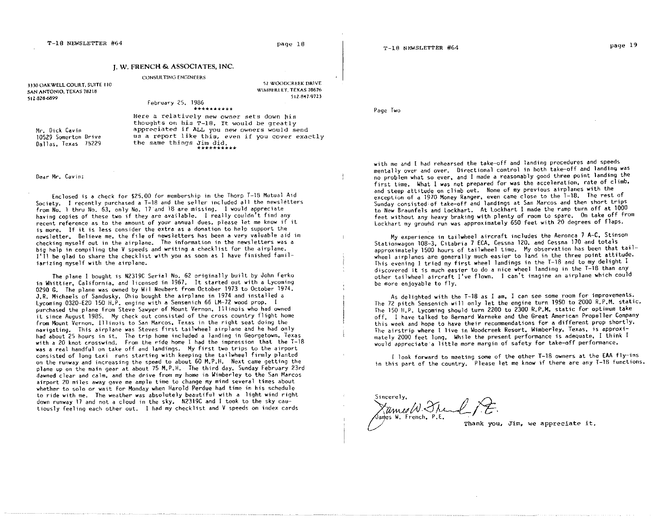52 WOODCREEK DRIVE WIMHERLEY. TEXAS 78676

5 L2-847-9723

# J. W. FRENCH & ASSOCIATES, INC.

### CONSULTING ENG!NEERS

J1JO OAKWELL COURT. SUITE 110 SAN ANTONIO. TEXAS 76218 512-828-6899

# February 25, 1986

Mr. Dick Cavin 10529 Somerton Drive Dallas, Texas 75229

\*\*\*\*\*\*\*\*\*\* Here a relatively new owner sets down Mis thoughts on his T-18. It would be greatly appreciated if ALL you new owners would send us a report like this, *even* if you *cover* exactly the same things Jim did.<br>\*\*\*\*\*\*\*\*\*\*

## Oedr Mr. Cavin:

Enclosed is d check for \$25.00 for membership in the Thorp T-18 Mutual Aid Society. I recently purchased a T-18 and the seller included all the newsletters from No.1 thru No. 63. only No. 17"and 18 are missing. I would appreciate having copies of these two if they are available. I really couldn't find any recent reference as to the amount of your annual dues, please let me know if it is more. If it is less consider the extra as a donation to help support the newsletter. Believe me, the file of newsletters has been a very valuable aid in big help in compiling the V speeds and writing a checklist for the airplane. I'll be glad to share the checklist with you as soon as 1 have finished familiarizing myself with the airplane.

The plane I bought is N2319C Serial No. 62 originally built by John Ferko in Whittier, California. and licensed in 1967. It started out with a Lycoming 0290 G. The plane was owned by Wil Neubert from October 1973 to October 1974. J.R. Michaels of Sandusky, Ohio bought the airplane in 1974 and installed a Lycoming 0320-E20 150 H.P. engine with a Sensenich 66 LM-72 wood prop. I purchased the plane from Steve Sawyer of Mount Vernon. Illinois who had owned it since August 1985. My check out consisted of the cross country flight home from Mount Vernon. Illinois to San Marcos. Texas in the right seat doing the navigating. This airplane was Steves first tailwheel airplane and he had only had about 25 hours in it. The trip home included a landing in Georgetown, Texas<br>with a 20 knot crosswind. From the ride home I had the impression that the T-18 was a real handful on take off and landings. My first two trips to the airport consisted of long taxi runs starting with keeping the tailwheel firmly planted on the runway and increasing the speed to about 60 M.P.H. Next came getting the plane up on the main gear at about 75 M.P.H. The third day. Sunday February 23rd dawned clear and calm. and the drive from my home in Wimberley to the San Marcos airport 20 miles away gave me ample time to change my mind several times about whether to solo or wait for Monday when Harold Perdue had time in his schedule to ride with me. The weather was absolutely beautiful with a light wind right down runway 17 and not a cloud in the sky. N2319C and I took to the sky cautiously feeling each other out. I had my checklist and V speeds on index cards

T-18 NEWSLETTER #64 page 19

Page Two

with me and I had rehearsed the take-off and landing procedures and speeds mentally over and over. Directional control in both take-off and landing was no problem what so ever, and I made a reasonably good three point landing the first time. What I was not prepared for was the acceleration, rate of climb. and steep attitude on climb out. None of my previous airplanes with the exception of a 1970 Money Ranger, even came close to the T-18. The rest of Sunday consisted'of take-off and landings at San Marcos and then short trips to New Braunfels and lockhart. At Lockhart 1 made the ramp turn off at 1000 feet without any heavy braking with plenty of room to spare. On take off from lockhart my ground run was approximately 650 feet with 20 degrees of flaps.

My experience in tailwheel aircraft includes the Aeronca 7 A-C, Stinson Stationwagon 108-3, Citabria 7 ECA, Cessna 120. and Cessna 170 and totals approximately 1500 hours of tailwheel time. My observation has been that tailwheel airplanes are generally much easier to land in the three point attitude. This evening I tried my first wheel landings in the T-18 and to my delight I discovered it is much easier to do a nice wheel landing in the T-18 than any other tailwheel aircraft I've flown. I can't imagine an airplane which could be more enjoyable to fly.

As delighted with the T-18 as I am, I can see some room for improvements. The 72 pitch Sensenich will only let the engine turn 1950 to 2000 R.P.M. static. The 150 H.P. lycoming should turn 2200 to 2300 R.P.M. static for optimum take off. I have talked to Bernard Warneke and the Great American Propeller Company this week and hope to have their recommendations for a different prop shortly. The airstrip where I live in Woodcreek Resort. Wimberley, Texas. is approximately 2000 feet long. While the present performance is adequate. I think I would appreciate'a little more margin of safety for take-off performance.

I look forward to meeting some of the other T-18 owners at the EAA fly-ins in this part of the country. Please let me know if there are any T-18 functions.

Sincerely,  $\chi_{\text{MMS}}$   $\omega$   $\chi_{\text{LMS}}$   $\chi_{\text{LMS}}$ .